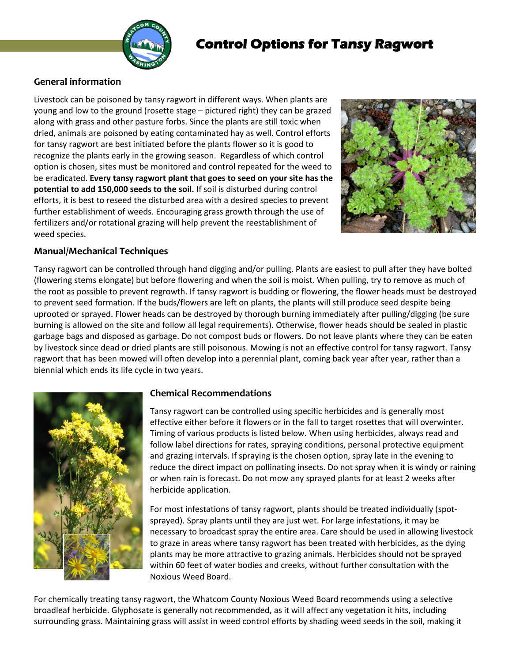

## **Control Options for Tansy Ragwort**

## **General information**

Livestock can be poisoned by tansy ragwort in different ways. When plants are young and low to the ground (rosette stage – pictured right) they can be grazed along with grass and other pasture forbs. Since the plants are still toxic when dried, animals are poisoned by eating contaminated hay as well. Control efforts for tansy ragwort are best initiated before the plants flower so it is good to recognize the plants early in the growing season. Regardless of which control option is chosen, sites must be monitored and control repeated for the weed to be eradicated. **Every tansy ragwort plant that goes to seed on your site has the potential to add 150,000 seeds to the soil.** If soil is disturbed during control efforts, it is best to reseed the disturbed area with a desired species to prevent further establishment of weeds. Encouraging grass growth through the use of fertilizers and/or rotational grazing will help prevent the reestablishment of weed species.



## **Manual/Mechanical Techniques**

Tansy ragwort can be controlled through hand digging and/or pulling. Plants are easiest to pull after they have bolted (flowering stems elongate) but before flowering and when the soil is moist. When pulling, try to remove as much of the root as possible to prevent regrowth. If tansy ragwort is budding or flowering, the flower heads must be destroyed to prevent seed formation. If the buds/flowers are left on plants, the plants will still produce seed despite being uprooted or sprayed. Flower heads can be destroyed by thorough burning immediately after pulling/digging (be sure burning is allowed on the site and follow all legal requirements). Otherwise, flower heads should be sealed in plastic garbage bags and disposed as garbage. Do not compost buds or flowers. Do not leave plants where they can be eaten by livestock since dead or dried plants are still poisonous. Mowing is not an effective control for tansy ragwort. Tansy ragwort that has been mowed will often develop into a perennial plant, coming back year after year, rather than a biennial which ends its life cycle in two years.



## **Chemical Recommendations**

Tansy ragwort can be controlled using specific herbicides and is generally most effective either before it flowers or in the fall to target rosettes that will overwinter. Timing of various products is listed below. When using herbicides, always read and follow label directions for rates, spraying conditions, personal protective equipment and grazing intervals. If spraying is the chosen option, spray late in the evening to reduce the direct impact on pollinating insects. Do not spray when it is windy or raining or when rain is forecast. Do not mow any sprayed plants for at least 2 weeks after herbicide application.

For most infestations of tansy ragwort, plants should be treated individually (spotsprayed). Spray plants until they are just wet. For large infestations, it may be necessary to broadcast spray the entire area. Care should be used in allowing livestock to graze in areas where tansy ragwort has been treated with herbicides, as the dying plants may be more attractive to grazing animals. Herbicides should not be sprayed within 60 feet of water bodies and creeks, without further consultation with the Noxious Weed Board.

For chemically treating tansy ragwort, the Whatcom County Noxious Weed Board recommends using a selective broadleaf herbicide. Glyphosate is generally not recommended, as it will affect any vegetation it hits, including surrounding grass. Maintaining grass will assist in weed control efforts by shading weed seeds in the soil, making it